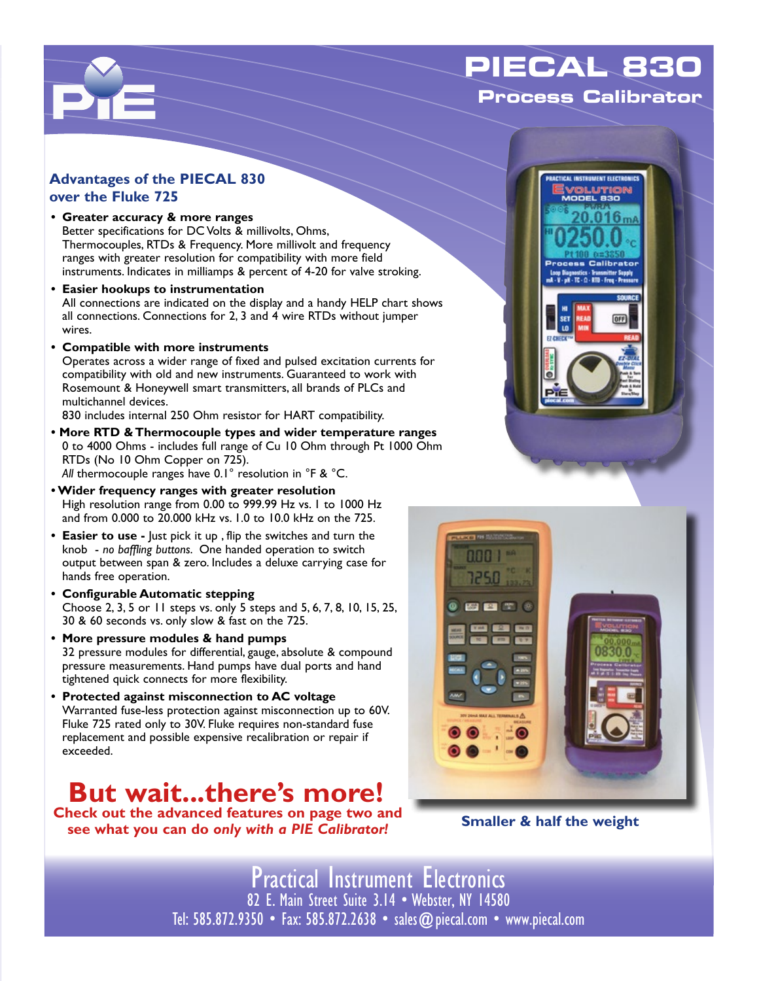## **PIECAL 830 Process Calibrator**



 $\Box$ 

- **• Greater accuracy & more ranges** Better specifications for DC Volts & millivolts, Ohms, Thermocouples, RTDs & Frequency. More millivolt and frequency ranges with greater resolution for compatibility with more field instruments. Indicates in milliamps & percent of 4-20 for valve stroking.
- **• Easier hookups to instrumentation** All connections are indicated on the display and a handy HELP chart shows all connections. Connections for 2, 3 and 4 wire RTDs without jumper wires.
- **• Compatible with more instruments** Operates across a wider range of fixed and pulsed excitation currents for compatibility with old and new instruments. Guaranteed to work with Rosemount & Honeywell smart transmitters, all brands of PLCs and multichannel devices.

830 includes internal 250 Ohm resistor for HART compatibility.

- **More RTD & Thermocouple types and wider temperature ranges** 0 to 4000 Ohms - includes full range of Cu 10 Ohm through Pt 1000 Ohm RTDs (No 10 Ohm Copper on 725). *All* thermocouple ranges have 0.1° resolution in °F & °C.
- **Wider frequency ranges with greater resolution** High resolution range from 0.00 to 999.99 Hz vs. 1 to 1000 Hz and from 0.000 to 20.000 kHz vs. 1.0 to 10.0 kHz on the 725.
- **• Easier to use** Just pick it up , flip the switches and turn the knob - *no baffling buttons*. One handed operation to switch output between span & zero. Includes a deluxe carrying case for hands free operation.
- **• Configurable Automatic stepping** Choose 2, 3, 5 or 11 steps vs. only 5 steps and 5, 6, 7, 8, 10, 15, 25, 30 & 60 seconds vs. only slow & fast on the 725.
- **• More pressure modules & hand pumps** 32 pressure modules for differential, gauge, absolute & compound pressure measurements. Hand pumps have dual ports and hand tightened quick connects for more flexibility.
- **• Protected against misconnection to AC voltage** Warranted fuse-less protection against misconnection up to 60V. Fluke 725 rated only to 30V. Fluke requires non-standard fuse replacement and possible expensive recalibration or repair if exceeded.

## **But wait...there's more!**

**Check out the advanced features on page two and see what you can do** *only with a PIE Calibrator!*





**Smaller & half the weight**

Practical Instrument Electronics 82 E. Main Street Suite 3.14 • Webster, NY 14580 Tel: 585.872.9350 • Fax: 585.872.2638 • sales@piecal.com • www.piecal.com